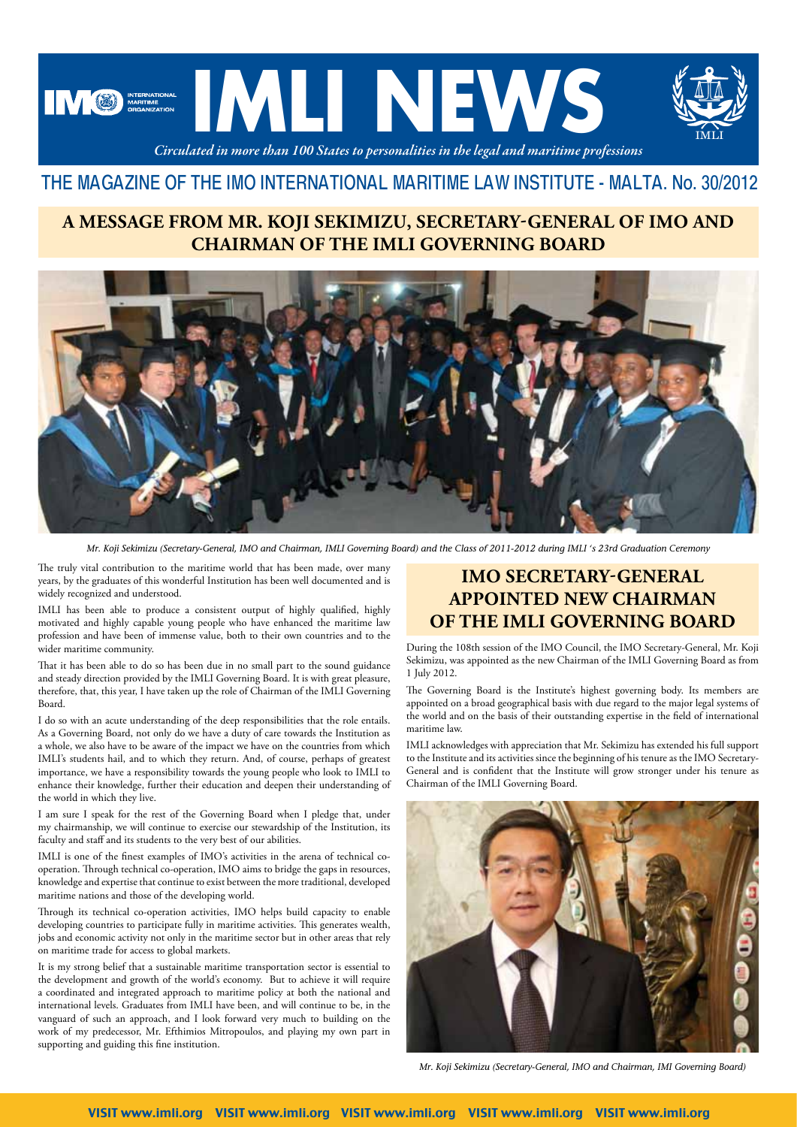

## THE MAGAZINE OF THE IMO INTERNATIONAL MARITIME LAW INSTITUTE - MALTA. No. 30/2012

#### **A MESSAGE FROM MR. KOJI SEKIMIZU, SECRETARY-GENERAL OF IMO AND CHAIRMAN OF THE IMLI GOVERNING BOARD**



*Mr. Koji Sekimizu (Secretary-General, IMO and Chairman, IMLI Governing Board) and the Class of 2011-2012 during IMLI 's 23rd Graduation Ceremony*

The truly vital contribution to the maritime world that has been made, over many years, by the graduates of this wonderful Institution has been well documented and is widely recognized and understood.

IMLI has been able to produce a consistent output of highly qualified, highly motivated and highly capable young people who have enhanced the maritime law profession and have been of immense value, both to their own countries and to the wider maritime community.

That it has been able to do so has been due in no small part to the sound guidance and steady direction provided by the IMLI Governing Board. It is with great pleasure, therefore, that, this year, I have taken up the role of Chairman of the IMLI Governing Board.

I do so with an acute understanding of the deep responsibilities that the role entails. As a Governing Board, not only do we have a duty of care towards the Institution as a whole, we also have to be aware of the impact we have on the countries from which IMLI's students hail, and to which they return. And, of course, perhaps of greatest importance, we have a responsibility towards the young people who look to IMLI to enhance their knowledge, further their education and deepen their understanding of the world in which they live.

I am sure I speak for the rest of the Governing Board when I pledge that, under my chairmanship, we will continue to exercise our stewardship of the Institution, its faculty and staff and its students to the very best of our abilities.

IMLI is one of the finest examples of IMO's activities in the arena of technical cooperation. Through technical co-operation, IMO aims to bridge the gaps in resources, knowledge and expertise that continue to exist between the more traditional, developed maritime nations and those of the developing world.

Through its technical co-operation activities, IMO helps build capacity to enable developing countries to participate fully in maritime activities. This generates wealth, jobs and economic activity not only in the maritime sector but in other areas that rely on maritime trade for access to global markets.

It is my strong belief that a sustainable maritime transportation sector is essential to the development and growth of the world's economy. But to achieve it will require a coordinated and integrated approach to maritime policy at both the national and international levels. Graduates from IMLI have been, and will continue to be, in the vanguard of such an approach, and I look forward very much to building on the work of my predecessor, Mr. Efthimios Mitropoulos, and playing my own part in supporting and guiding this fine institution.

### **IMO SECRETARY-GENERAL APPOINTED NEW CHAIRMAN OF THE IMLI GOVERNING BOARD**

During the 108th session of the IMO Council, the IMO Secretary-General, Mr. Koji Sekimizu, was appointed as the new Chairman of the IMLI Governing Board as from 1 July 2012.

The Governing Board is the Institute's highest governing body. Its members are appointed on a broad geographical basis with due regard to the major legal systems of the world and on the basis of their outstanding expertise in the field of international maritime law.

IMLI acknowledges with appreciation that Mr. Sekimizu has extended his full support to the Institute and its activities since the beginning of his tenure as the IMO Secretary-General and is confident that the Institute will grow stronger under his tenure as Chairman of the IMLI Governing Board.



*Mr. Koji Sekimizu (Secretary-General, IMO and Chairman, IMI Governing Board)*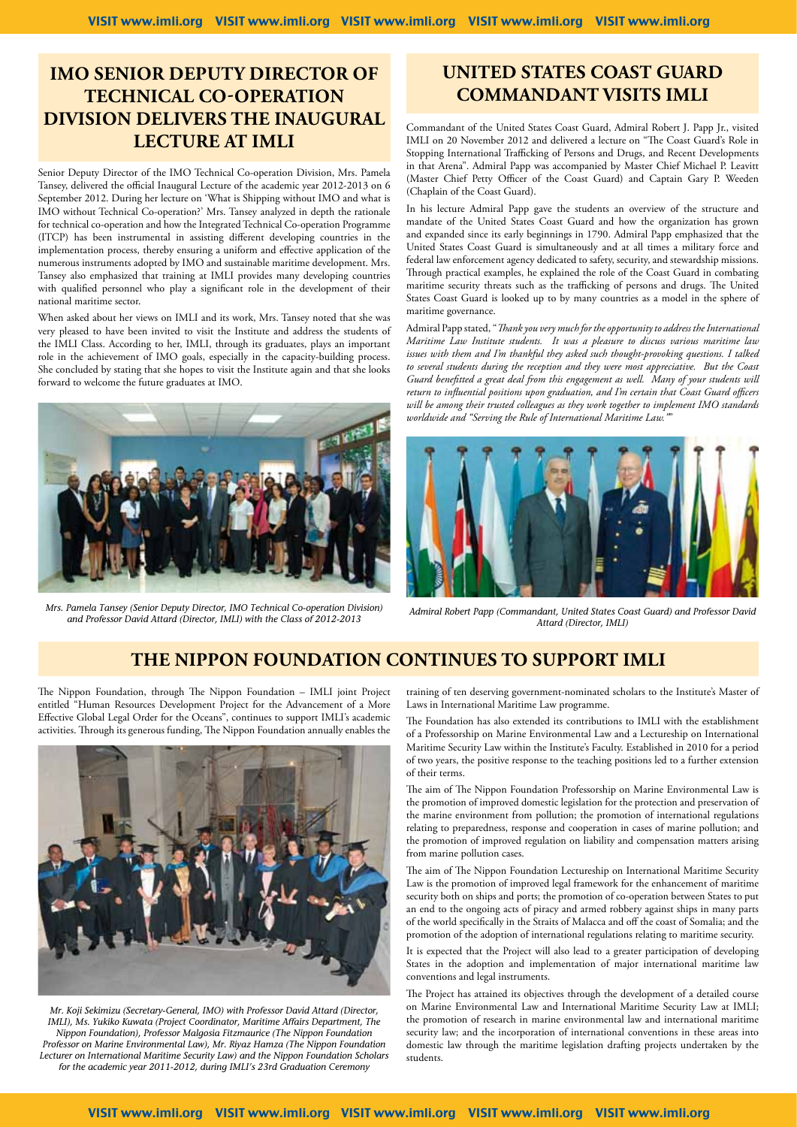#### **IMO SENIOR DEPUTY DIRECTOR OF TECHNICAL CO-OPERATION DIVISION DELIVERS THE INAUGURAL LECTURE AT IMLI**

Senior Deputy Director of the IMO Technical Co-operation Division, Mrs. Pamela Tansey, delivered the official Inaugural Lecture of the academic year 2012-2013 on 6 September 2012. During her lecture on 'What is Shipping without IMO and what is IMO without Technical Co-operation?' Mrs. Tansey analyzed in depth the rationale for technical co-operation and how the Integrated Technical Co-operation Programme (ITCP) has been instrumental in assisting different developing countries in the implementation process, thereby ensuring a uniform and effective application of the numerous instruments adopted by IMO and sustainable maritime development. Mrs. Tansey also emphasized that training at IMLI provides many developing countries with qualified personnel who play a significant role in the development of their national maritime sector.

When asked about her views on IMLI and its work, Mrs. Tansey noted that she was very pleased to have been invited to visit the Institute and address the students of the IMLI Class. According to her, IMLI, through its graduates, plays an important role in the achievement of IMO goals, especially in the capacity-building process. She concluded by stating that she hopes to visit the Institute again and that she looks forward to welcome the future graduates at IMO.



*Mrs. Pamela Tansey (Senior Deputy Director, IMO Technical Co-operation Division) and Professor David Attard (Director, IMLI) with the Class of 2012-2013*

#### **UNITED STATES COAST GUARD COMMANDANT VISITS IMLI**

Commandant of the United States Coast Guard, Admiral Robert J. Papp Jr., visited IMLI on 20 November 2012 and delivered a lecture on "The Coast Guard's Role in Stopping International Trafficking of Persons and Drugs, and Recent Developments in that Arena". Admiral Papp was accompanied by Master Chief Michael P. Leavitt (Master Chief Petty Officer of the Coast Guard) and Captain Gary P. Weeden (Chaplain of the Coast Guard).

In his lecture Admiral Papp gave the students an overview of the structure and mandate of the United States Coast Guard and how the organization has grown and expanded since its early beginnings in 1790. Admiral Papp emphasized that the United States Coast Guard is simultaneously and at all times a military force and federal law enforcement agency dedicated to safety, security, and stewardship missions. Through practical examples, he explained the role of the Coast Guard in combating maritime security threats such as the trafficking of persons and drugs. The United States Coast Guard is looked up to by many countries as a model in the sphere of maritime governance.

Admiral Papp stated, "*Thank you very much for the opportunity to address the International Maritime Law Institute students. It was a pleasure to discuss various maritime law issues with them and I'm thankful they asked such thought-provoking questions. I talked to several students during the reception and they were most appreciative. But the Coast Guard benefitted a great deal from this engagement as well. Many of your students will return to influential positions upon graduation, and I'm certain that Coast Guard officers will be among their trusted colleagues as they work together to implement IMO standards worldwide and "Serving the Rule of International Maritime Law."*"



*Admiral Robert Papp (Commandant, United States Coast Guard) and Professor David Attard (Director, IMLI)*

#### **THE NIPPON FOUNDATION CONTINUES TO SUPPORT IMLI**

The Nippon Foundation, through The Nippon Foundation – IMLI joint Project entitled "Human Resources Development Project for the Advancement of a More Effective Global Legal Order for the Oceans", continues to support IMLI's academic activities. Through its generous funding, The Nippon Foundation annually enables the



*Mr. Koji Sekimizu (Secretary-General, IMO) with Professor David Attard (Director, IMLI), Ms. Yukiko Kuwata (Project Coordinator, Maritime Affairs Department, The Nippon Foundation), Professor Malgosia Fitzmaurice (The Nippon Foundation Professor on Marine Environmental Law), Mr. Riyaz Hamza (The Nippon Foundation Lecturer on International Maritime Security Law) and the Nippon Foundation Scholars for the academic year 2011-2012, during IMLI's 23rd Graduation Ceremony*

training of ten deserving government-nominated scholars to the Institute's Master of Laws in International Maritime Law programme.

The Foundation has also extended its contributions to IMLI with the establishment of a Professorship on Marine Environmental Law and a Lectureship on International Maritime Security Law within the Institute's Faculty. Established in 2010 for a period of two years, the positive response to the teaching positions led to a further extension of their terms.

The aim of The Nippon Foundation Professorship on Marine Environmental Law is the promotion of improved domestic legislation for the protection and preservation of the marine environment from pollution; the promotion of international regulations relating to preparedness, response and cooperation in cases of marine pollution; and the promotion of improved regulation on liability and compensation matters arising from marine pollution cases.

The aim of The Nippon Foundation Lectureship on International Maritime Security Law is the promotion of improved legal framework for the enhancement of maritime security both on ships and ports; the promotion of co-operation between States to put an end to the ongoing acts of piracy and armed robbery against ships in many parts of the world specifically in the Straits of Malacca and off the coast of Somalia; and the promotion of the adoption of international regulations relating to maritime security.

It is expected that the Project will also lead to a greater participation of developing States in the adoption and implementation of major international maritime law conventions and legal instruments.

The Project has attained its objectives through the development of a detailed course on Marine Environmental Law and International Maritime Security Law at IMLI; the promotion of research in marine environmental law and international maritime security law; and the incorporation of international conventions in these areas into domestic law through the maritime legislation drafting projects undertaken by the students.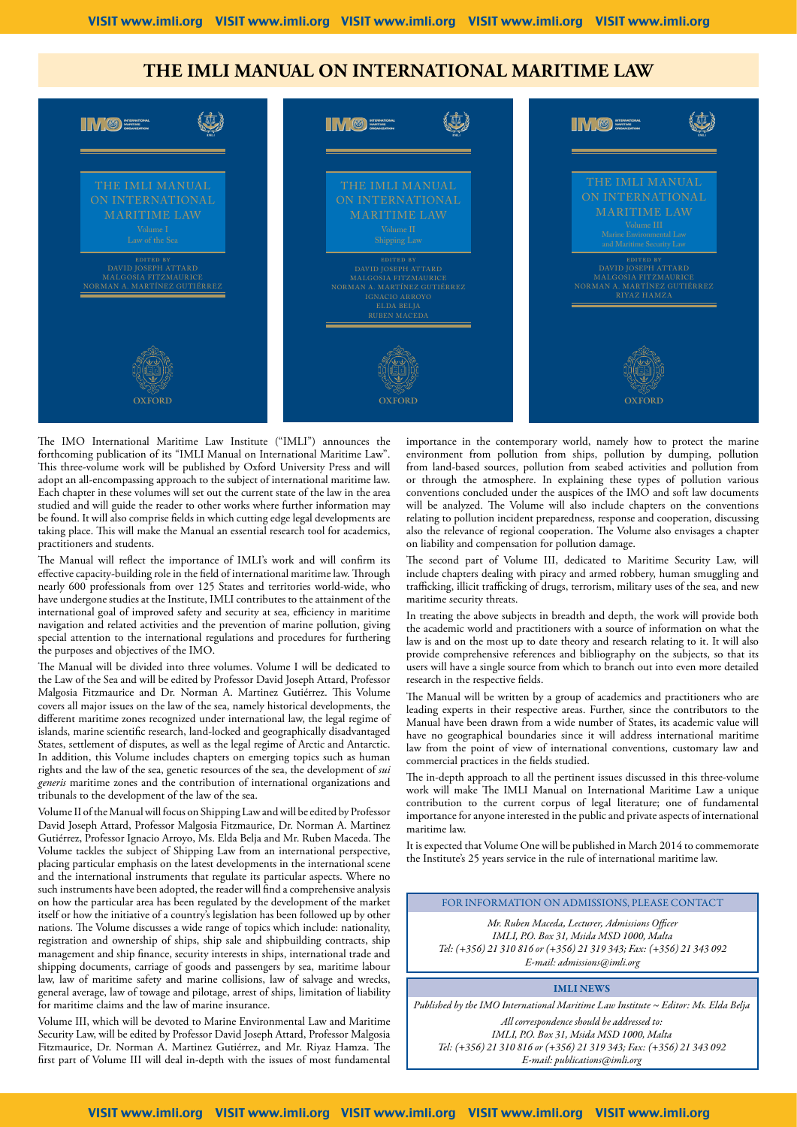#### **The IMLI MANUAL ON INTERNATIONAL MARITIME LAW**



The IMO International Maritime Law Institute ("IMLI") announces the forthcoming publication of its "IMLI Manual on International Maritime Law". This three-volume work will be published by Oxford University Press and will adopt an all-encompassing approach to the subject of international maritime law. Each chapter in these volumes will set out the current state of the law in the area studied and will guide the reader to other works where further information may be found. It will also comprise fields in which cutting edge legal developments are taking place. This will make the Manual an essential research tool for academics, practitioners and students.

The Manual will reflect the importance of IMLI's work and will confirm its effective capacity-building role in the field of international maritime law. Through nearly 600 professionals from over 125 States and territories world-wide, who have undergone studies at the Institute, IMLI contributes to the attainment of the international goal of improved safety and security at sea, efficiency in maritime navigation and related activities and the prevention of marine pollution, giving special attention to the international regulations and procedures for furthering the purposes and objectives of the IMO.

The Manual will be divided into three volumes. Volume I will be dedicated to the Law of the Sea and will be edited by Professor David Joseph Attard, Professor Malgosia Fitzmaurice and Dr. Norman A. Martinez Gutiérrez. This Volume covers all major issues on the law of the sea, namely historical developments, the different maritime zones recognized under international law, the legal regime of islands, marine scientific research, land-locked and geographically disadvantaged States, settlement of disputes, as well as the legal regime of Arctic and Antarctic. In addition, this Volume includes chapters on emerging topics such as human rights and the law of the sea, genetic resources of the sea, the development of *sui generis* maritime zones and the contribution of international organizations and tribunals to the development of the law of the sea.

Volume II of the Manual will focus on Shipping Law and will be edited by Professor David Joseph Attard, Professor Malgosia Fitzmaurice, Dr. Norman A. Martinez Gutiérrez, Professor Ignacio Arroyo, Ms. Elda Belja and Mr. Ruben Maceda. The Volume tackles the subject of Shipping Law from an international perspective, placing particular emphasis on the latest developments in the international scene and the international instruments that regulate its particular aspects. Where no such instruments have been adopted, the reader will find a comprehensive analysis on how the particular area has been regulated by the development of the market itself or how the initiative of a country's legislation has been followed up by other nations. The Volume discusses a wide range of topics which include: nationality, registration and ownership of ships, ship sale and shipbuilding contracts, ship management and ship finance, security interests in ships, international trade and shipping documents, carriage of goods and passengers by sea, maritime labour law, law of maritime safety and marine collisions, law of salvage and wrecks, general average, law of towage and pilotage, arrest of ships, limitation of liability for maritime claims and the law of marine insurance.

Volume III, which will be devoted to Marine Environmental Law and Maritime Security Law, will be edited by Professor David Joseph Attard, Professor Malgosia Fitzmaurice, Dr. Norman A. Martinez Gutiérrez, and Mr. Riyaz Hamza. The first part of Volume III will deal in-depth with the issues of most fundamental

importance in the contemporary world, namely how to protect the marine environment from pollution from ships, pollution by dumping, pollution from land-based sources, pollution from seabed activities and pollution from or through the atmosphere. In explaining these types of pollution various conventions concluded under the auspices of the IMO and soft law documents will be analyzed. The Volume will also include chapters on the conventions relating to pollution incident preparedness, response and cooperation, discussing also the relevance of regional cooperation. The Volume also envisages a chapter on liability and compensation for pollution damage.

The second part of Volume III, dedicated to Maritime Security Law, will include chapters dealing with piracy and armed robbery, human smuggling and trafficking, illicit trafficking of drugs, terrorism, military uses of the sea, and new maritime security threats.

In treating the above subjects in breadth and depth, the work will provide both the academic world and practitioners with a source of information on what the law is and on the most up to date theory and research relating to it. It will also provide comprehensive references and bibliography on the subjects, so that its users will have a single source from which to branch out into even more detailed research in the respective fields.

The Manual will be written by a group of academics and practitioners who are leading experts in their respective areas. Further, since the contributors to the Manual have been drawn from a wide number of States, its academic value will have no geographical boundaries since it will address international maritime law from the point of view of international conventions, customary law and commercial practices in the fields studied.

The in-depth approach to all the pertinent issues discussed in this three-volume work will make The IMLI Manual on International Maritime Law a unique contribution to the current corpus of legal literature; one of fundamental importance for anyone interested in the public and private aspects of international maritime law.

It is expected that Volume One will be published in March 2014 to commemorate the Institute's 25 years service in the rule of international maritime law.

FOR INFORMATION ON ADMISSIONS, PLEASE CONTACT

*Mr. Ruben Maceda, Lecturer, Admissions Officer IMLI, P.O. Box 31, Msida MSD 1000, Malta Tel: (+356) 21 310 816 or (+356) 21 319 343; Fax: (+356) 21 343 092 E-mail: admissions@imli.org*

#### IMLI NEWS

*Published by the IMO International Maritime Law Institute ~ Editor: Ms. Elda Belja All correspondence should be addressed to: IMLI, P.O. Box 31, Msida MSD 1000, Malta Tel: (+356) 21 310 816 or (+356) 21 319 343; Fax: (+356) 21 343 092 E-mail: publications@imli.org*